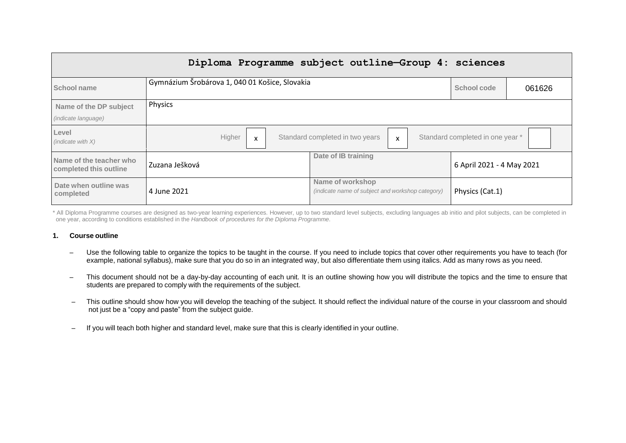| Diploma Programme subject outline-Group 4: sciences |                                                |                                                                      |                                  |        |
|-----------------------------------------------------|------------------------------------------------|----------------------------------------------------------------------|----------------------------------|--------|
| School name                                         | Gymnázium Šrobárova 1, 040 01 Košice, Slovakia |                                                                      | School code                      | 061626 |
| Name of the DP subject                              | Physics                                        |                                                                      |                                  |        |
| <i>(indicate language)</i>                          |                                                |                                                                      |                                  |        |
| Level<br>(indicate with $X$ )                       | Higher<br>X                                    | Standard completed in two years<br>$\boldsymbol{\mathsf{x}}$         | Standard completed in one year * |        |
| Name of the teacher who<br>completed this outline   | Zuzana Ješková                                 | Date of IB training                                                  | 6 April 2021 - 4 May 2021        |        |
| Date when outline was<br>completed                  | 4 June 2021                                    | Name of workshop<br>(indicate name of subject and workshop category) | Physics (Cat.1)                  |        |

\* All Diploma Programme courses are designed as two-year learning experiences. However, up to two standard level subjects, excluding languages ab initio and pilot subjects, can be completed in one year, according to conditions established in the *Handbook of procedures for the Diploma Programme*.

#### **1. Course outline**

- Use the following table to organize the topics to be taught in the course. If you need to include topics that cover other requirements you have to teach (for example, national syllabus), make sure that you do so in an integrated way, but also differentiate them using italics. Add as many rows as you need.
- This document should not be a day-by-day accounting of each unit. It is an outline showing how you will distribute the topics and the time to ensure that students are prepared to comply with the requirements of the subject.
- This outline should show how you will develop the teaching of the subject. It should reflect the individual nature of the course in your classroom and should not just be a "copy and paste" from the subject guide.
- If you will teach both higher and standard level, make sure that this is clearly identified in your outline.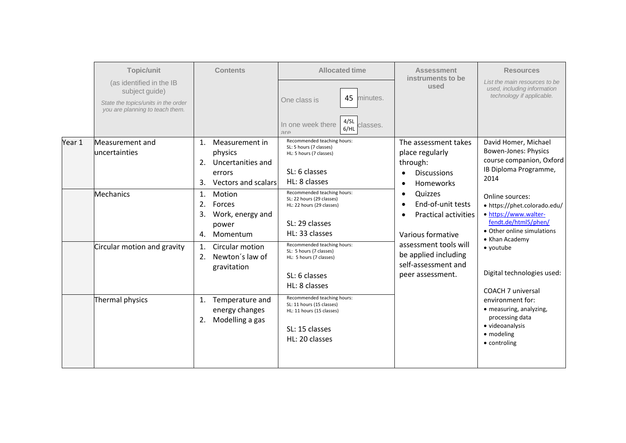|        | <b>Topic/unit</b>                                                      | <b>Contents</b>                                                                                               | <b>Allocated time</b>                                                                                                     | <b>Assessment</b><br>instruments to be                                                                           | <b>Resources</b>                                                                                                               |
|--------|------------------------------------------------------------------------|---------------------------------------------------------------------------------------------------------------|---------------------------------------------------------------------------------------------------------------------------|------------------------------------------------------------------------------------------------------------------|--------------------------------------------------------------------------------------------------------------------------------|
|        | (as identified in the IB<br>subject guide)                             |                                                                                                               | 45<br>minutes.                                                                                                            | used                                                                                                             | List the main resources to be<br>used, including information<br>technology if applicable.                                      |
|        | State the topics/units in the order<br>you are planning to teach them. |                                                                                                               | One class is                                                                                                              |                                                                                                                  |                                                                                                                                |
|        |                                                                        |                                                                                                               | 4/SL<br>In one week there<br>classes.<br>6/HL<br>$\Box r \triangle$                                                       |                                                                                                                  |                                                                                                                                |
| Year 1 | Measurement and<br>luncertainties                                      | Measurement in<br>$\mathbf{1}$ .<br>physics<br>Uncertanities and<br>2.<br>errors<br>Vectors and scalars<br>3. | Recommended teaching hours:<br>SL: 5 hours (7 classes)<br>HL: 5 hours (7 classes)<br>SL: 6 classes<br>HL: 8 classes       | The assessment takes<br>place regularly<br>through:<br><b>Discussions</b><br>$\bullet$<br>Homeworks<br>$\bullet$ | David Homer, Michael<br>Bowen-Jones: Physics<br>course companion, Oxford<br>IB Diploma Programme,<br>2014                      |
|        | Mechanics                                                              | Motion<br>1.<br>2.<br>Forces<br>3.<br>Work, energy and<br>power<br>Momentum<br>4.                             | Recommended teaching hours:<br>SL: 22 hours (29 classes)<br>HL: 22 hours (29 classes)<br>SL: 29 classes<br>HL: 33 classes | Quizzes<br>$\bullet$<br>End-of-unit tests<br>$\bullet$<br><b>Practical activities</b><br>Various formative       | Online sources:<br>• https://phet.colorado.edu/<br>· https://www.walter-<br>fendt.de/html5/phen/<br>• Other online simulations |
|        | Circular motion and gravity                                            | 1.<br>Circular motion<br>Newton's law of<br>2.<br>gravitation                                                 | Recommended teaching hours:<br>SL: 5 hours (7 classes)<br>HL: 5 hours (7 classes)<br>SL: 6 classes<br>HL: 8 classes       | assessment tools will<br>be applied including<br>self-assessment and<br>peer assessment.                         | • Khan Academy<br>$\bullet$ youtube<br>Digital technologies used:<br>COACH 7 universal                                         |
|        | Thermal physics                                                        | Temperature and<br>1.<br>energy changes<br>Modelling a gas<br>2.                                              | Recommended teaching hours:<br>SL: 11 hours (15 classes)<br>HL: 11 hours (15 classes)<br>SL: 15 classes<br>HL: 20 classes |                                                                                                                  | environment for:<br>• measuring, analyzing,<br>processing data<br>· videoanalysis<br>• modeling<br>• controling                |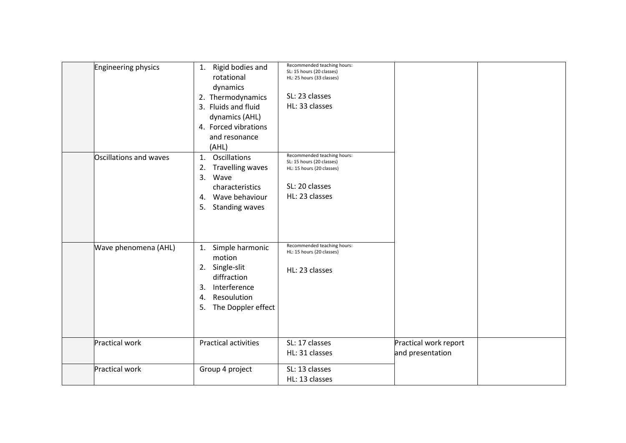| Engineering physics    | Rigid bodies and<br>1.<br>rotational<br>dynamics<br>2. Thermodynamics<br>3. Fluids and fluid<br>dynamics (AHL)<br>4. Forced vibrations<br>and resonance<br>(AHL) | Recommended teaching hours:<br>SL: 15 hours (20 classes)<br>HL: 25 hours (33 classes)<br>SL: 23 classes<br>HL: 33 classes |                                           |  |
|------------------------|------------------------------------------------------------------------------------------------------------------------------------------------------------------|---------------------------------------------------------------------------------------------------------------------------|-------------------------------------------|--|
| Oscillations and waves | Oscillations<br>1.<br><b>Travelling waves</b><br>2.<br>3.<br>Wave<br>characteristics<br>Wave behaviour<br>4.<br>5.<br><b>Standing waves</b>                      | Recommended teaching hours:<br>SL: 15 hours (20 classes)<br>HL: 15 hours (20 classes)<br>SL: 20 classes<br>HL: 23 classes |                                           |  |
| Wave phenomena (AHL)   | Simple harmonic<br>1.<br>motion<br>2. Single-slit<br>diffraction<br>Interference<br>3.<br>Resoulution<br>4.<br>5. The Doppler effect                             | Recommended teaching hours:<br>HL: 15 hours (20 classes)<br>HL: 23 classes                                                |                                           |  |
| Practical work         | <b>Practical activities</b>                                                                                                                                      | SL: 17 classes<br>HL: 31 classes                                                                                          | Practical work report<br>and presentation |  |
| Practical work         | Group 4 project                                                                                                                                                  | SL: 13 classes<br>HL: 13 classes                                                                                          |                                           |  |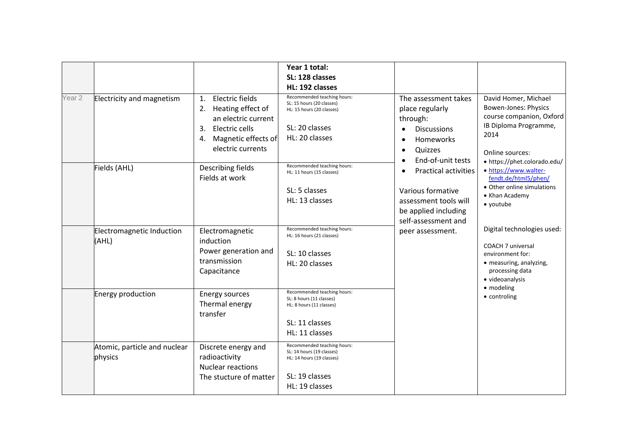|                   |                                         |                                                                                                                                          | Year 1 total:<br>SL: 128 classes<br>HL: 192 classes                                                                       |                                                                                                                                                            |                                                                                                                                             |
|-------------------|-----------------------------------------|------------------------------------------------------------------------------------------------------------------------------------------|---------------------------------------------------------------------------------------------------------------------------|------------------------------------------------------------------------------------------------------------------------------------------------------------|---------------------------------------------------------------------------------------------------------------------------------------------|
| Year <sub>2</sub> | Electricity and magnetism               | Electric fields<br>1.<br>2. Heating effect of<br>an electric current<br>3. Electric cells<br>4. Magnetic effects of<br>electric currents | Recommended teaching hours:<br>SL: 15 hours (20 classes)<br>HL: 15 hours (20 classes)<br>SL: 20 classes<br>HL: 20 classes | The assessment takes<br>place regularly<br>through:<br><b>Discussions</b><br>$\bullet$<br><b>Homeworks</b><br>Quizzes                                      | David Homer, Michael<br><b>Bowen-Jones: Physics</b><br>course companion, Oxford<br>IB Diploma Programme,<br>2014<br>Online sources:         |
|                   | Fields (AHL)                            | Describing fields<br>Fields at work                                                                                                      | Recommended teaching hours:<br>HL: 11 hours (15 classes)<br>SL: 5 classes<br>HL: 13 classes                               | End-of-unit tests<br>$\bullet$<br><b>Practical activities</b><br>Various formative<br>assessment tools will<br>be applied including<br>self-assessment and | • https://phet.colorado.edu/<br>· https://www.walter-<br>fendt.de/html5/phen/<br>• Other online simulations<br>• Khan Academy<br>• youtube  |
|                   | Electromagnetic Induction<br>(AHL)      | Electromagnetic<br>induction<br>Power generation and<br>transmission<br>Capacitance                                                      | Recommended teaching hours:<br>HL: 16 hours (21 classes)<br>SL: 10 classes<br>HL: 20 classes                              | peer assessment.                                                                                                                                           | Digital technologies used:<br><b>COACH 7 universal</b><br>environment for:<br>· measuring, analyzing,<br>processing data<br>· videoanalysis |
|                   | Energy production                       | <b>Energy sources</b><br>Thermal energy<br>transfer                                                                                      | Recommended teaching hours:<br>SL: 8 hours (11 classes)<br>HL: 8 hours (11 classes)<br>SL: 11 classes<br>HL: 11 classes   |                                                                                                                                                            | • modeling<br>• controling                                                                                                                  |
|                   | Atomic, particle and nuclear<br>physics | Discrete energy and<br>radioactivity<br><b>Nuclear reactions</b><br>The stucture of matter                                               | Recommended teaching hours:<br>SL: 14 hours (19 classes)<br>HL: 14 hours (19 classes)<br>SL: 19 classes<br>HL: 19 classes |                                                                                                                                                            |                                                                                                                                             |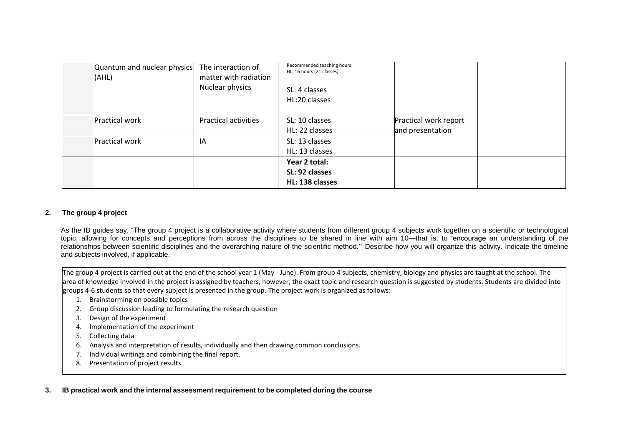| Quantum and nuclear physics<br>(AHL) | The interaction of<br>matter with radiation<br>Nuclear physics | Recommended teaching hours:<br>HL: 16 hours (21 classes)<br>SL: 4 classes<br>HL:20 classes |                                           |  |
|--------------------------------------|----------------------------------------------------------------|--------------------------------------------------------------------------------------------|-------------------------------------------|--|
| <b>Practical work</b>                | <b>Practical activities</b>                                    | SL: 10 classes<br>HL: 22 classes                                                           | Practical work report<br>and presentation |  |
| <b>Practical work</b>                | ΙA                                                             | SL: 13 classes<br>HL: 13 classes                                                           |                                           |  |
|                                      |                                                                | Year 2 total:<br>SL: 92 classes<br>HL: 138 classes                                         |                                           |  |

# **2. The group 4 project**

As the IB guides say, "The group 4 project is a collaborative activity where students from different group 4 subjects work together on a scientific or technological topic, allowing for concepts and perceptions from across the disciplines to be shared in line with aim 10—that is, to 'encourage an understanding of the relationships between scientific disciplines and the overarching nature of the scientific method.'" Describe how you will organize this activity. Indicate the timeline and subjects involved, if applicable.

The group 4 project is carried out at the end of the school year 1 (May - June). From group 4 subjects, chemistry, biology and physics are taught at the school. The area of knowledge involved in the project is assigned by teachers, however, the exact topic and research question is suggested by students. Students are divided into groups 4-6 students so that every subject is presented in the group. The project work is organized as follows:

- 1. Brainstorming on possible topics
- 2. Group discussion leading to formulating the research question
- 3. Design of the experiment
- 4. Implementation of the experiment
- 5. Collecting data
- 6. Analysis and interpretation of results, individually and then drawing common conclusions.
- 7. Individual writings and combining the final report.
- 8. Presentation of project results.

**3. IB practical work and the internal assessment requirement to be completed during the course**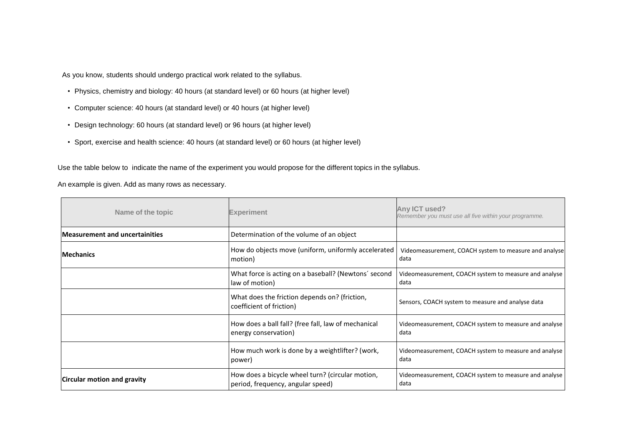As you know, students should undergo practical work related to the syllabus.

- Physics, chemistry and biology: 40 hours (at standard level) or 60 hours (at higher level)
- Computer science: 40 hours (at standard level) or 40 hours (at higher level)
- Design technology: 60 hours (at standard level) or 96 hours (at higher level)
- Sport, exercise and health science: 40 hours (at standard level) or 60 hours (at higher level)

Use the table below to indicate the name of the experiment you would propose for the different topics in the syllabus.

An example is given. Add as many rows as necessary.

| Name of the topic                     | <b>Experiment</b>                                                                     | Any ICT used?<br>Remember you must use all five within your programme. |
|---------------------------------------|---------------------------------------------------------------------------------------|------------------------------------------------------------------------|
| <b>Measurement and uncertainities</b> | Determination of the volume of an object                                              |                                                                        |
| <b>Mechanics</b>                      | How do objects move (uniform, uniformly accelerated<br>motion)                        | Videomeasurement, COACH system to measure and analyse<br>data          |
|                                       | What force is acting on a baseball? (Newtons' second<br>law of motion)                | Videomeasurement, COACH system to measure and analyse<br>data          |
|                                       | What does the friction depends on? (friction,<br>coefficient of friction)             | Sensors, COACH system to measure and analyse data                      |
|                                       | How does a ball fall? (free fall, law of mechanical<br>energy conservation)           | Videomeasurement, COACH system to measure and analyse<br>data          |
|                                       | How much work is done by a weightlifter? (work,<br>power)                             | Videomeasurement, COACH system to measure and analyse<br>data          |
| <b>Circular motion and gravity</b>    | How does a bicycle wheel turn? (circular motion,<br>period, frequency, angular speed) | Videomeasurement, COACH system to measure and analyse<br>data          |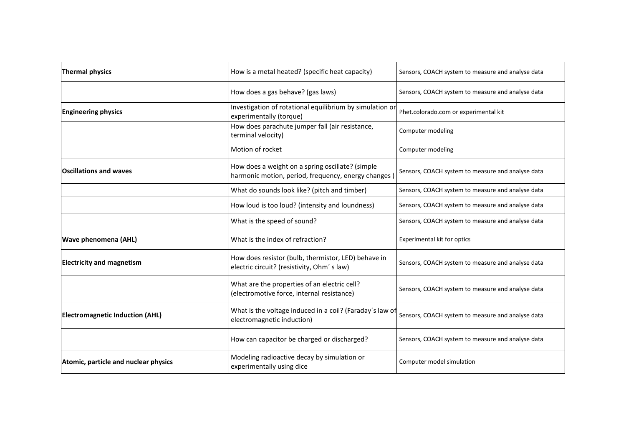| <b>Thermal physics</b>                 | How is a metal heated? (specific heat capacity)                                                         | Sensors, COACH system to measure and analyse data |
|----------------------------------------|---------------------------------------------------------------------------------------------------------|---------------------------------------------------|
|                                        | How does a gas behave? (gas laws)                                                                       | Sensors, COACH system to measure and analyse data |
| <b>Engineering physics</b>             | Investigation of rotational equilibrium by simulation or<br>experimentally (torque)                     | Phet.colorado.com or experimental kit             |
|                                        | How does parachute jumper fall (air resistance,<br>terminal velocity)                                   | Computer modeling                                 |
|                                        | Motion of rocket                                                                                        | Computer modeling                                 |
| <b>Oscillations and waves</b>          | How does a weight on a spring oscillate? (simple<br>harmonic motion, period, frequency, energy changes) | Sensors, COACH system to measure and analyse data |
|                                        | What do sounds look like? (pitch and timber)                                                            | Sensors, COACH system to measure and analyse data |
|                                        | How loud is too loud? (intensity and loundness)                                                         | Sensors, COACH system to measure and analyse data |
|                                        | What is the speed of sound?                                                                             | Sensors, COACH system to measure and analyse data |
| <b>Wave phenomena (AHL)</b>            | What is the index of refraction?                                                                        | Experimental kit for optics                       |
| <b>Electricity and magnetism</b>       | How does resistor (bulb, thermistor, LED) behave in<br>electric circuit? (resistivity, Ohm's law)       | Sensors, COACH system to measure and analyse data |
|                                        | What are the properties of an electric cell?<br>(electromotive force, internal resistance)              | Sensors, COACH system to measure and analyse data |
| <b>Electromagnetic Induction (AHL)</b> | What is the voltage induced in a coil? (Faraday's law of<br>electromagnetic induction)                  | Sensors, COACH system to measure and analyse data |
|                                        | How can capacitor be charged or discharged?                                                             | Sensors, COACH system to measure and analyse data |
| Atomic, particle and nuclear physics   | Modeling radioactive decay by simulation or<br>experimentally using dice                                | Computer model simulation                         |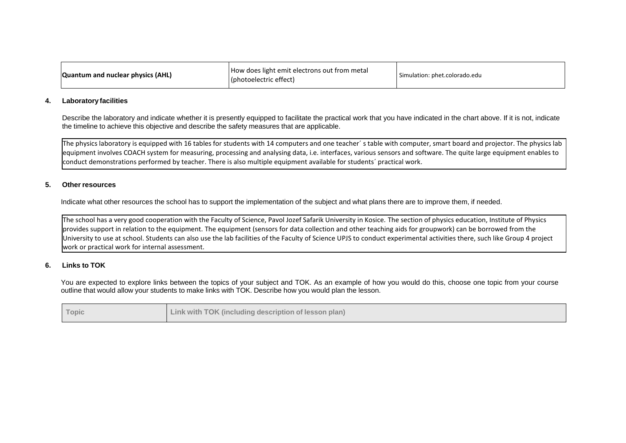| Quantum and nuclear physics (AHL) | How does light emit electrons out from metal<br>(photoelectric effect) | Simulation: phet.colorado.edu |
|-----------------------------------|------------------------------------------------------------------------|-------------------------------|
|-----------------------------------|------------------------------------------------------------------------|-------------------------------|

#### **4. Laboratory facilities**

Describe the laboratory and indicate whether it is presently equipped to facilitate the practical work that you have indicated in the chart above. If it is not, indicate the timeline to achieve this objective and describe the safety measures that are applicable.

The physics laboratory is equipped with 16 tables for students with 14 computers and one teacher´ s table with computer, smart board and projector. The physics lab equipment involves COACH system for measuring, processing and analysing data, i.e. interfaces, various sensors and software. The quite large equipment enables to conduct demonstrations performed by teacher. There is also multiple equipment available for students´ practical work.

### **5. Other resources**

Indicate what other resources the school has to support the implementation of the subject and what plans there are to improve them, if needed.

The school has a very good cooperation with the Faculty of Science, Pavol Jozef Safarik University in Kosice. The section of physics education, Institute of Physics provides support in relation to the equipment. The equipment (sensors for data collection and other teaching aids for groupwork) can be borrowed from the University to use at school. Students can also use the lab facilities of the Faculty of Science UPJS to conduct experimental activities there, such like Group 4 project work or practical work for internal assessment.

## **6. Links to TOK**

You are expected to explore links between the topics of your subject and TOK. As an example of how you would do this, choose one topic from your course outline that would allow your students to make links with TOK. Describe how you would plan the lesson.

| Topic | Link with TOK (including description of lesson plan) |
|-------|------------------------------------------------------|
|-------|------------------------------------------------------|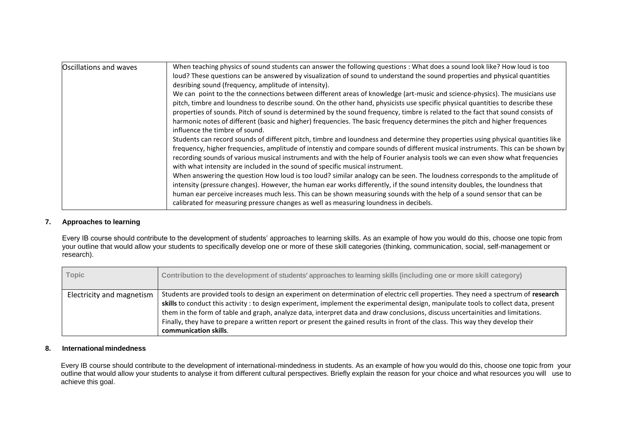| Oscillations and waves | When teaching physics of sound students can answer the following questions : What does a sound look like? How loud is too<br>loud? These questions can be answered by visualization of sound to understand the sound properties and physical quantities<br>desribing sound (frequency, amplitude of intensity).<br>We can point to the the connections between different areas of knowledge (art-music and science-physics). The musicians use<br>pitch, timbre and loundness to describe sound. On the other hand, physicists use specific physical quantities to describe these<br>properties of sounds. Pitch of sound is determined by the sound frequency, timbre is related to the fact that sound consists of<br>harmonic notes of different (basic and higher) frequencies. The basic frequency determines the pitch and higher frequences<br>influence the timbre of sound.<br>Students can record sounds of different pitch, timbre and loundness and determine they properties using physical quantities like<br>frequency, higher frequencies, amplitude of intenstiy and compare sounds of different musical instruments. This can be shown by<br>recording sounds of various musical instruments and with the help of Fourier analysis tools we can even show what frequencies<br>with what intensity are included in the sound of specific musical instrument.<br>When answering the question How loud is too loud? similar analogy can be seen. The loudness corresponds to the amplitude of<br>intensity (pressure changes). However, the human ear works differently, if the sound intensity doubles, the loundness that<br>human ear perceive increases much less. This can be shown measuring sounds with the help of a sound sensor that can be<br>calibrated for measuring pressure changes as well as measuring loundness in decibels. |
|------------------------|---------------------------------------------------------------------------------------------------------------------------------------------------------------------------------------------------------------------------------------------------------------------------------------------------------------------------------------------------------------------------------------------------------------------------------------------------------------------------------------------------------------------------------------------------------------------------------------------------------------------------------------------------------------------------------------------------------------------------------------------------------------------------------------------------------------------------------------------------------------------------------------------------------------------------------------------------------------------------------------------------------------------------------------------------------------------------------------------------------------------------------------------------------------------------------------------------------------------------------------------------------------------------------------------------------------------------------------------------------------------------------------------------------------------------------------------------------------------------------------------------------------------------------------------------------------------------------------------------------------------------------------------------------------------------------------------------------------------------------------------------------------------------------------------------------------------------------------------------------------|
|------------------------|---------------------------------------------------------------------------------------------------------------------------------------------------------------------------------------------------------------------------------------------------------------------------------------------------------------------------------------------------------------------------------------------------------------------------------------------------------------------------------------------------------------------------------------------------------------------------------------------------------------------------------------------------------------------------------------------------------------------------------------------------------------------------------------------------------------------------------------------------------------------------------------------------------------------------------------------------------------------------------------------------------------------------------------------------------------------------------------------------------------------------------------------------------------------------------------------------------------------------------------------------------------------------------------------------------------------------------------------------------------------------------------------------------------------------------------------------------------------------------------------------------------------------------------------------------------------------------------------------------------------------------------------------------------------------------------------------------------------------------------------------------------------------------------------------------------------------------------------------------------|

## **7. Approaches to learning**

Every IB course should contribute to the development of students' approaches to learning skills. As an example of how you would do this, choose one topic from your outline that would allow your students to specifically develop one or more of these skill categories (thinking, communication, social, self-management or research).

| <b>Topic</b>              | Contribution to the development of students' approaches to learning skills (including one or more skill category)                                                                                                                                                                                                                                                                                                                                                                                                                                                         |
|---------------------------|---------------------------------------------------------------------------------------------------------------------------------------------------------------------------------------------------------------------------------------------------------------------------------------------------------------------------------------------------------------------------------------------------------------------------------------------------------------------------------------------------------------------------------------------------------------------------|
| Electricity and magnetism | Students are provided tools to design an experiment on determination of electric cell properties. They need a spectrum of research<br>skills to conduct this activity : to design experiment, implement the experimental design, manipulate tools to collect data, present<br>them in the form of table and graph, analyze data, interpret data and draw conclusions, discuss uncertainities and limitations.<br>Finally, they have to prepare a written report or present the gained results in front of the class. This way they develop their<br>communication skills. |

# **8. International mindedness**

Every IB course should contribute to the development of international-mindedness in students. As an example of how you would do this, choose one topic from your outline that would allow your students to analyse it from different cultural perspectives. Briefly explain the reason for your choice and what resources you will use to achieve this goal.